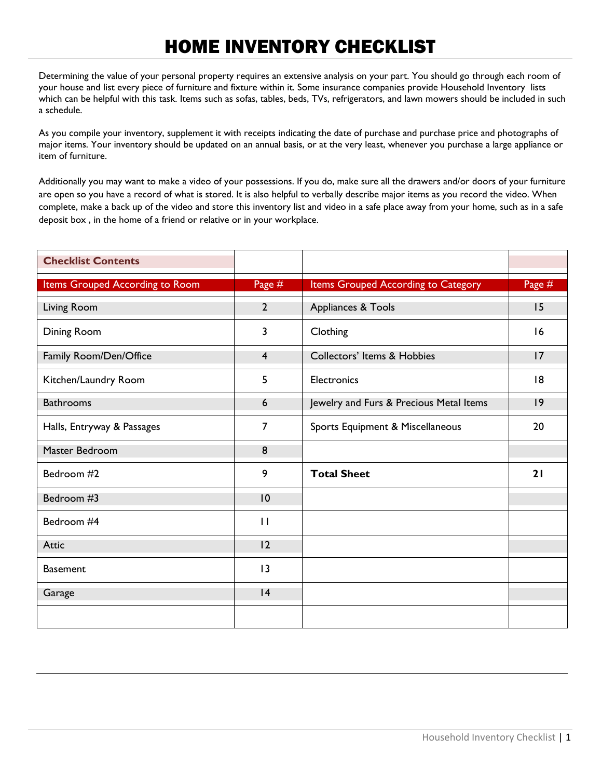Determining the value of your personal property requires an extensive analysis on your part. You should go through each room of your house and list every piece of furniture and fixture within it. Some insurance companies provide Household Inventory lists which can be helpful with this task. Items such as sofas, tables, beds, TVs, refrigerators, and lawn mowers should be included in such a schedule.

As you compile your inventory, supplement it with receipts indicating the date of purchase and purchase price and photographs of major items. Your inventory should be updated on an annual basis, or at the very least, whenever you purchase a large appliance or item of furniture.

Additionally you may want to make a video of your possessions. If you do, make sure all the drawers and/or doors of your furniture are open so you have a record of what is stored. It is also helpful to verbally describe major items as you record the video. When complete, make a back up of the video and store this inventory list and video in a safe place away from your home, such as in a safe deposit box , in the home of a friend or relative or in your workplace.

| <b>Checklist Contents</b>       |                |                                            |        |
|---------------------------------|----------------|--------------------------------------------|--------|
| Items Grouped According to Room | Page #         | <b>Items Grouped According to Category</b> | Page # |
| Living Room                     | $\overline{2}$ | Appliances & Tools                         | 15     |
| Dining Room                     | 3              | Clothing                                   | 16     |
| Family Room/Den/Office          | $\overline{4}$ | Collectors' Items & Hobbies                | 17     |
| Kitchen/Laundry Room            | 5              | Electronics                                | 8      |
| <b>Bathrooms</b>                | 6              | Jewelry and Furs & Precious Metal Items    | 9      |
| Halls, Entryway & Passages      | 7              | Sports Equipment & Miscellaneous           | 20     |
| Master Bedroom                  | 8              |                                            |        |
| Bedroom #2                      | 9              | <b>Total Sheet</b>                         | 21     |
| Bedroom #3                      | 10             |                                            |        |
| Bedroom #4                      | $\mathbf{I}$   |                                            |        |
| Attic                           | 2              |                                            |        |
| <b>Basement</b>                 | 3              |                                            |        |
| Garage                          | 4              |                                            |        |
|                                 |                |                                            |        |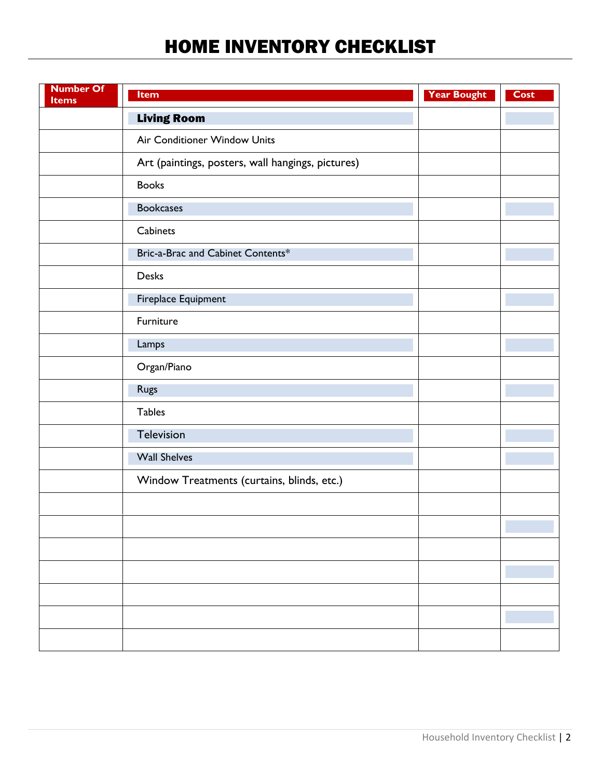| <b>Number Of</b><br><b>Items</b> | Item                                              | Year Bought | <b>Cost</b> |
|----------------------------------|---------------------------------------------------|-------------|-------------|
|                                  | <b>Living Room</b>                                |             |             |
|                                  | Air Conditioner Window Units                      |             |             |
|                                  | Art (paintings, posters, wall hangings, pictures) |             |             |
|                                  | <b>Books</b>                                      |             |             |
|                                  | <b>Bookcases</b>                                  |             |             |
|                                  | Cabinets                                          |             |             |
|                                  | Bric-a-Brac and Cabinet Contents*                 |             |             |
|                                  | <b>Desks</b>                                      |             |             |
|                                  | Fireplace Equipment                               |             |             |
|                                  | Furniture                                         |             |             |
|                                  | Lamps                                             |             |             |
|                                  | Organ/Piano                                       |             |             |
|                                  | Rugs                                              |             |             |
|                                  | <b>Tables</b>                                     |             |             |
|                                  | Television                                        |             |             |
|                                  | <b>Wall Shelves</b>                               |             |             |
|                                  | Window Treatments (curtains, blinds, etc.)        |             |             |
|                                  |                                                   |             |             |
|                                  |                                                   |             |             |
|                                  |                                                   |             |             |
|                                  |                                                   |             |             |
|                                  |                                                   |             |             |
|                                  |                                                   |             |             |
|                                  |                                                   |             |             |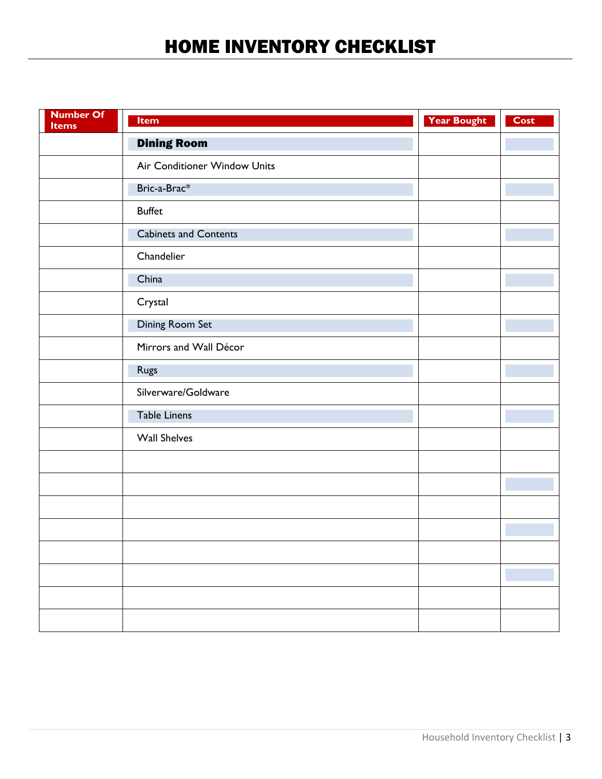| <b>Dining Room</b><br>Air Conditioner Window Units<br>Bric-a-Brac*<br><b>Buffet</b><br><b>Cabinets and Contents</b><br>Chandelier<br>China<br>Crystal<br>Dining Room Set<br>Mirrors and Wall Décor<br>Rugs<br>Silverware/Goldware<br><b>Table Linens</b><br><b>Wall Shelves</b> | <b>Number Of</b><br><b>Items</b> | Item | Year Bought | <b>Cost</b> |
|---------------------------------------------------------------------------------------------------------------------------------------------------------------------------------------------------------------------------------------------------------------------------------|----------------------------------|------|-------------|-------------|
|                                                                                                                                                                                                                                                                                 |                                  |      |             |             |
|                                                                                                                                                                                                                                                                                 |                                  |      |             |             |
|                                                                                                                                                                                                                                                                                 |                                  |      |             |             |
|                                                                                                                                                                                                                                                                                 |                                  |      |             |             |
|                                                                                                                                                                                                                                                                                 |                                  |      |             |             |
|                                                                                                                                                                                                                                                                                 |                                  |      |             |             |
|                                                                                                                                                                                                                                                                                 |                                  |      |             |             |
|                                                                                                                                                                                                                                                                                 |                                  |      |             |             |
|                                                                                                                                                                                                                                                                                 |                                  |      |             |             |
|                                                                                                                                                                                                                                                                                 |                                  |      |             |             |
|                                                                                                                                                                                                                                                                                 |                                  |      |             |             |
|                                                                                                                                                                                                                                                                                 |                                  |      |             |             |
|                                                                                                                                                                                                                                                                                 |                                  |      |             |             |
|                                                                                                                                                                                                                                                                                 |                                  |      |             |             |
|                                                                                                                                                                                                                                                                                 |                                  |      |             |             |
|                                                                                                                                                                                                                                                                                 |                                  |      |             |             |
|                                                                                                                                                                                                                                                                                 |                                  |      |             |             |
|                                                                                                                                                                                                                                                                                 |                                  |      |             |             |
|                                                                                                                                                                                                                                                                                 |                                  |      |             |             |
|                                                                                                                                                                                                                                                                                 |                                  |      |             |             |
|                                                                                                                                                                                                                                                                                 |                                  |      |             |             |
|                                                                                                                                                                                                                                                                                 |                                  |      |             |             |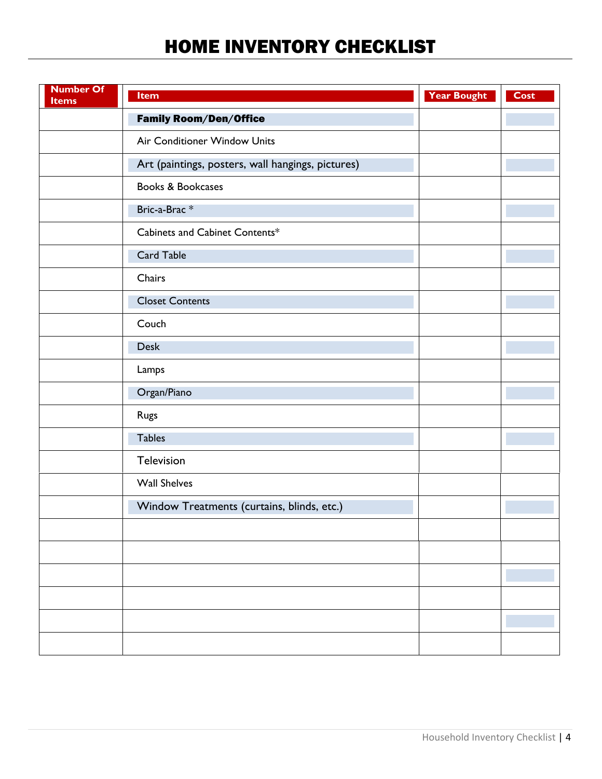| <b>Number Of</b><br><b>Items</b> | Item                                              | <b>Year Bought</b> | <b>Cost</b> |
|----------------------------------|---------------------------------------------------|--------------------|-------------|
|                                  | <b>Family Room/Den/Office</b>                     |                    |             |
|                                  | Air Conditioner Window Units                      |                    |             |
|                                  | Art (paintings, posters, wall hangings, pictures) |                    |             |
|                                  | Books & Bookcases                                 |                    |             |
|                                  | Bric-a-Brac*                                      |                    |             |
|                                  | Cabinets and Cabinet Contents*                    |                    |             |
|                                  | <b>Card Table</b>                                 |                    |             |
|                                  | Chairs                                            |                    |             |
|                                  | <b>Closet Contents</b>                            |                    |             |
|                                  | Couch                                             |                    |             |
|                                  | <b>Desk</b>                                       |                    |             |
|                                  | Lamps                                             |                    |             |
|                                  | Organ/Piano                                       |                    |             |
|                                  | Rugs                                              |                    |             |
|                                  | <b>Tables</b>                                     |                    |             |
|                                  | Television                                        |                    |             |
|                                  | <b>Wall Shelves</b>                               |                    |             |
|                                  | Window Treatments (curtains, blinds, etc.)        |                    |             |
|                                  |                                                   |                    |             |
|                                  |                                                   |                    |             |
|                                  |                                                   |                    |             |
|                                  |                                                   |                    |             |
|                                  |                                                   |                    |             |
|                                  |                                                   |                    |             |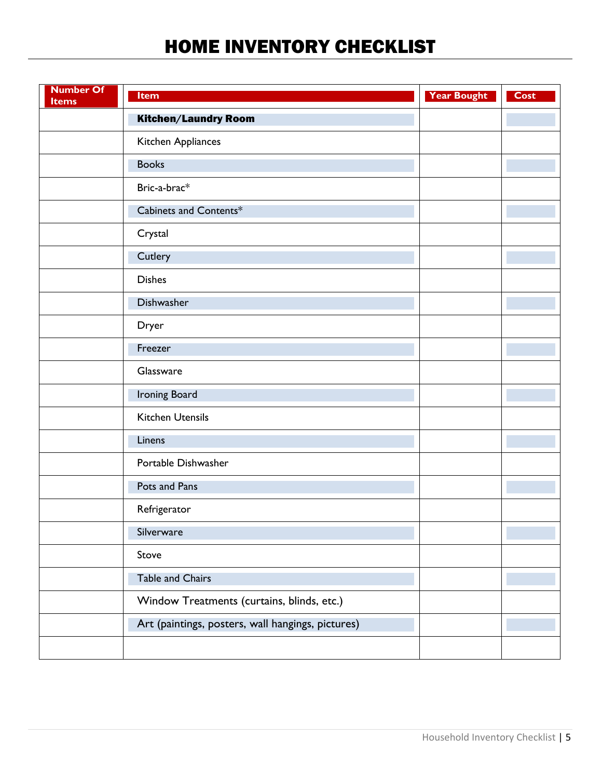| <b>Number Of</b><br><b>Items</b> | Item                                              | <b>Year Bought</b> | <b>Cost</b> |
|----------------------------------|---------------------------------------------------|--------------------|-------------|
|                                  | <b>Kitchen/Laundry Room</b>                       |                    |             |
|                                  | Kitchen Appliances                                |                    |             |
|                                  | <b>Books</b>                                      |                    |             |
|                                  | Bric-a-brac*                                      |                    |             |
|                                  | Cabinets and Contents*                            |                    |             |
|                                  | Crystal                                           |                    |             |
|                                  | Cutlery                                           |                    |             |
|                                  | <b>Dishes</b>                                     |                    |             |
|                                  | Dishwasher                                        |                    |             |
|                                  | Dryer                                             |                    |             |
|                                  | Freezer                                           |                    |             |
|                                  | Glassware                                         |                    |             |
|                                  | Ironing Board                                     |                    |             |
|                                  | <b>Kitchen Utensils</b>                           |                    |             |
|                                  | Linens                                            |                    |             |
|                                  | Portable Dishwasher                               |                    |             |
|                                  | Pots and Pans                                     |                    |             |
|                                  | Refrigerator                                      |                    |             |
|                                  | Silverware                                        |                    |             |
|                                  | Stove                                             |                    |             |
|                                  | Table and Chairs                                  |                    |             |
|                                  | Window Treatments (curtains, blinds, etc.)        |                    |             |
|                                  | Art (paintings, posters, wall hangings, pictures) |                    |             |
|                                  |                                                   |                    |             |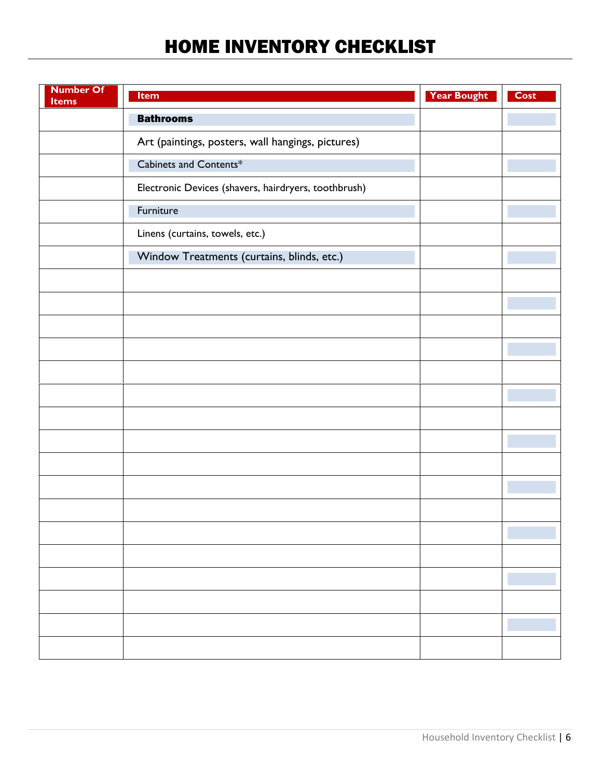| <b>Number Of</b><br><b>Items</b> | Item                                                 | <b>Year Bought</b> | <b>Cost</b> |
|----------------------------------|------------------------------------------------------|--------------------|-------------|
|                                  | <b>Bathrooms</b>                                     |                    |             |
|                                  | Art (paintings, posters, wall hangings, pictures)    |                    |             |
|                                  | Cabinets and Contents*                               |                    |             |
|                                  | Electronic Devices (shavers, hairdryers, toothbrush) |                    |             |
|                                  | Furniture                                            |                    |             |
|                                  | Linens (curtains, towels, etc.)                      |                    |             |
|                                  | Window Treatments (curtains, blinds, etc.)           |                    |             |
|                                  |                                                      |                    |             |
|                                  |                                                      |                    |             |
|                                  |                                                      |                    |             |
|                                  |                                                      |                    |             |
|                                  |                                                      |                    |             |
|                                  |                                                      |                    |             |
|                                  |                                                      |                    |             |
|                                  |                                                      |                    |             |
|                                  |                                                      |                    |             |
|                                  |                                                      |                    |             |
|                                  |                                                      |                    |             |
|                                  |                                                      |                    |             |
|                                  |                                                      |                    |             |
|                                  |                                                      |                    |             |
|                                  |                                                      |                    |             |
|                                  |                                                      |                    |             |
|                                  |                                                      |                    |             |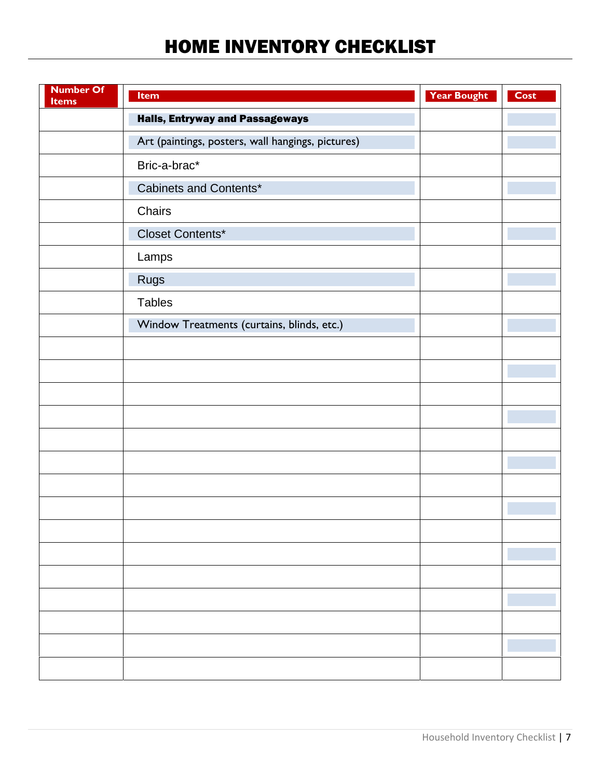| <b>Number Of</b><br><b>Items</b> | Item                                              | Year Bought | <b>Cost</b> |
|----------------------------------|---------------------------------------------------|-------------|-------------|
|                                  | <b>Halls, Entryway and Passageways</b>            |             |             |
|                                  | Art (paintings, posters, wall hangings, pictures) |             |             |
|                                  | Bric-a-brac*                                      |             |             |
|                                  | Cabinets and Contents*                            |             |             |
|                                  | Chairs                                            |             |             |
|                                  | Closet Contents*                                  |             |             |
|                                  | Lamps                                             |             |             |
|                                  | Rugs                                              |             |             |
|                                  | <b>Tables</b>                                     |             |             |
|                                  | Window Treatments (curtains, blinds, etc.)        |             |             |
|                                  |                                                   |             |             |
|                                  |                                                   |             |             |
|                                  |                                                   |             |             |
|                                  |                                                   |             |             |
|                                  |                                                   |             |             |
|                                  |                                                   |             |             |
|                                  |                                                   |             |             |
|                                  |                                                   |             |             |
|                                  |                                                   |             |             |
|                                  |                                                   |             |             |
|                                  |                                                   |             |             |
|                                  |                                                   |             |             |
|                                  |                                                   |             |             |
|                                  |                                                   |             |             |
|                                  |                                                   |             |             |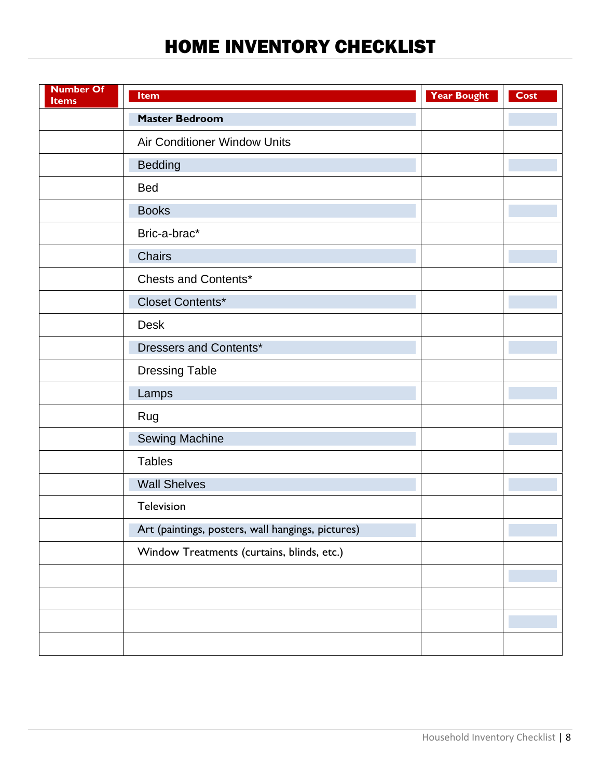| <b>Number Of</b><br>Items | Item                                              | Year Bought | <b>Cost</b> |
|---------------------------|---------------------------------------------------|-------------|-------------|
|                           | <b>Master Bedroom</b>                             |             |             |
|                           | <b>Air Conditioner Window Units</b>               |             |             |
|                           | <b>Bedding</b>                                    |             |             |
|                           | <b>Bed</b>                                        |             |             |
|                           | <b>Books</b>                                      |             |             |
|                           | Bric-a-brac*                                      |             |             |
|                           | Chairs                                            |             |             |
|                           | <b>Chests and Contents*</b>                       |             |             |
|                           | Closet Contents*                                  |             |             |
|                           | <b>Desk</b>                                       |             |             |
|                           | Dressers and Contents*                            |             |             |
|                           | <b>Dressing Table</b>                             |             |             |
|                           | Lamps                                             |             |             |
|                           | Rug                                               |             |             |
|                           | Sewing Machine                                    |             |             |
|                           | <b>Tables</b>                                     |             |             |
|                           | <b>Wall Shelves</b>                               |             |             |
|                           | Television                                        |             |             |
|                           | Art (paintings, posters, wall hangings, pictures) |             |             |
|                           | Window Treatments (curtains, blinds, etc.)        |             |             |
|                           |                                                   |             |             |
|                           |                                                   |             |             |
|                           |                                                   |             |             |
|                           |                                                   |             |             |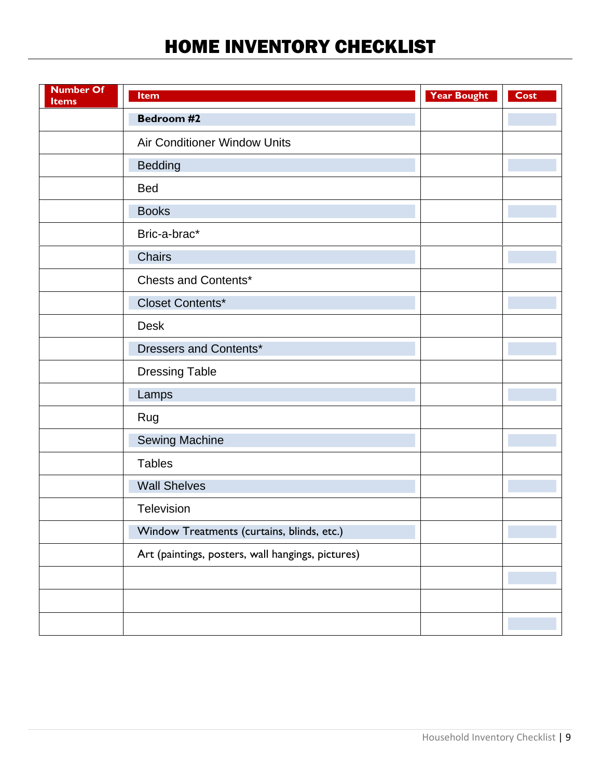| <b>Number Of</b><br><b>Items</b> | Item                                              | <b>Year Bought</b> | <b>Cost</b> |
|----------------------------------|---------------------------------------------------|--------------------|-------------|
|                                  | <b>Bedroom #2</b>                                 |                    |             |
|                                  | <b>Air Conditioner Window Units</b>               |                    |             |
|                                  | <b>Bedding</b>                                    |                    |             |
|                                  | <b>Bed</b>                                        |                    |             |
|                                  | <b>Books</b>                                      |                    |             |
|                                  | Bric-a-brac*                                      |                    |             |
|                                  | <b>Chairs</b>                                     |                    |             |
|                                  | <b>Chests and Contents*</b>                       |                    |             |
|                                  | Closet Contents*                                  |                    |             |
|                                  | <b>Desk</b>                                       |                    |             |
|                                  | Dressers and Contents*                            |                    |             |
|                                  | <b>Dressing Table</b>                             |                    |             |
|                                  | Lamps                                             |                    |             |
|                                  | Rug                                               |                    |             |
|                                  | Sewing Machine                                    |                    |             |
|                                  | <b>Tables</b>                                     |                    |             |
|                                  | <b>Wall Shelves</b>                               |                    |             |
|                                  | Television                                        |                    |             |
|                                  | Window Treatments (curtains, blinds, etc.)        |                    |             |
|                                  | Art (paintings, posters, wall hangings, pictures) |                    |             |
|                                  |                                                   |                    |             |
|                                  |                                                   |                    |             |
|                                  |                                                   |                    |             |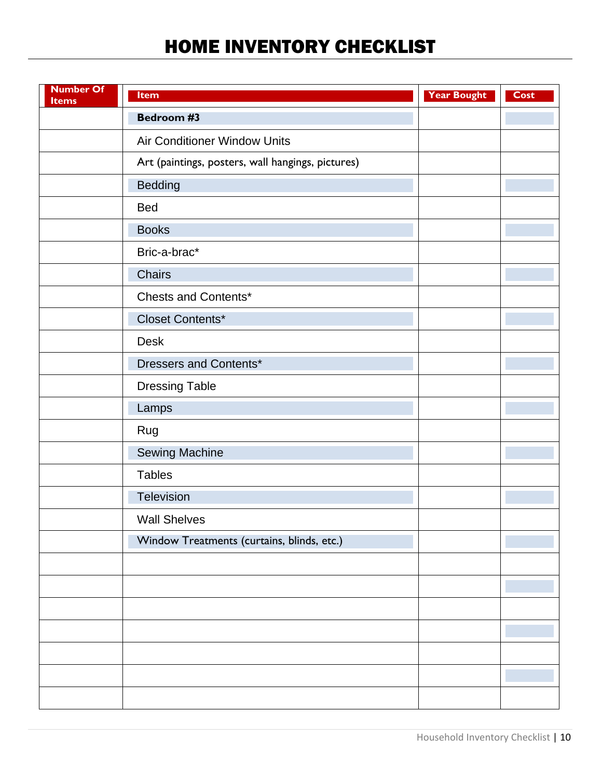| <b>Number Of</b><br><b>Items</b> | Item                                              | <b>Year Bought</b> | <b>Cost</b> |
|----------------------------------|---------------------------------------------------|--------------------|-------------|
|                                  | <b>Bedroom #3</b>                                 |                    |             |
|                                  | Air Conditioner Window Units                      |                    |             |
|                                  | Art (paintings, posters, wall hangings, pictures) |                    |             |
|                                  | <b>Bedding</b>                                    |                    |             |
|                                  | <b>Bed</b>                                        |                    |             |
|                                  | <b>Books</b>                                      |                    |             |
|                                  | Bric-a-brac*                                      |                    |             |
|                                  | <b>Chairs</b>                                     |                    |             |
|                                  | Chests and Contents*                              |                    |             |
|                                  | <b>Closet Contents*</b>                           |                    |             |
|                                  | <b>Desk</b>                                       |                    |             |
|                                  | Dressers and Contents*                            |                    |             |
|                                  | <b>Dressing Table</b>                             |                    |             |
|                                  | Lamps                                             |                    |             |
|                                  | Rug                                               |                    |             |
|                                  | Sewing Machine                                    |                    |             |
|                                  | <b>Tables</b>                                     |                    |             |
|                                  | <b>Television</b>                                 |                    |             |
|                                  | <b>Wall Shelves</b>                               |                    |             |
|                                  | Window Treatments (curtains, blinds, etc.)        |                    |             |
|                                  |                                                   |                    |             |
|                                  |                                                   |                    |             |
|                                  |                                                   |                    |             |
|                                  |                                                   |                    |             |
|                                  |                                                   |                    |             |
|                                  |                                                   |                    |             |
|                                  |                                                   |                    |             |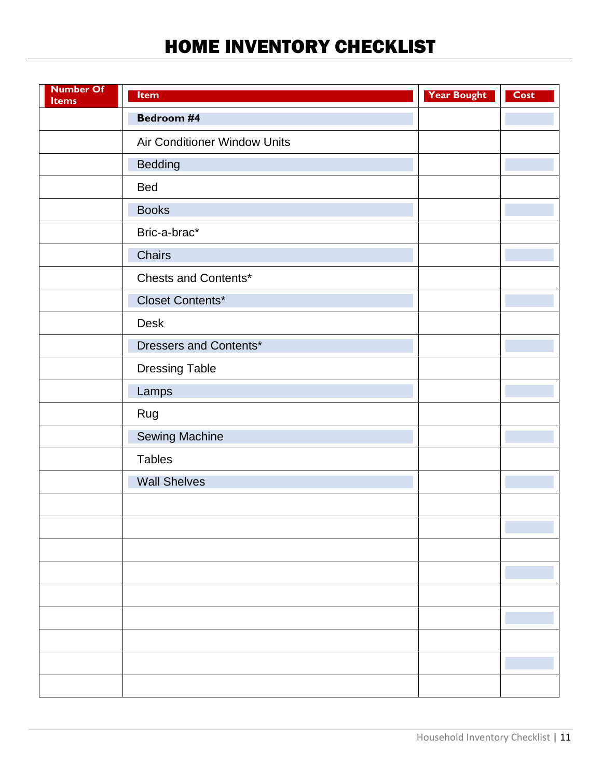| <b>Number Of</b><br><b>Items</b> | Item                                | Year Bought | <b>Cost</b> |
|----------------------------------|-------------------------------------|-------------|-------------|
|                                  | Bedroom #4                          |             |             |
|                                  | <b>Air Conditioner Window Units</b> |             |             |
|                                  | <b>Bedding</b>                      |             |             |
|                                  | <b>Bed</b>                          |             |             |
|                                  | <b>Books</b>                        |             |             |
|                                  | Bric-a-brac*                        |             |             |
|                                  | Chairs                              |             |             |
|                                  | Chests and Contents*                |             |             |
|                                  | Closet Contents*                    |             |             |
|                                  | Desk                                |             |             |
|                                  | Dressers and Contents*              |             |             |
|                                  | <b>Dressing Table</b>               |             |             |
|                                  | Lamps                               |             |             |
|                                  | Rug                                 |             |             |
|                                  | <b>Sewing Machine</b>               |             |             |
|                                  | <b>Tables</b>                       |             |             |
|                                  | <b>Wall Shelves</b>                 |             |             |
|                                  |                                     |             |             |
|                                  |                                     |             |             |
|                                  |                                     |             |             |
|                                  |                                     |             |             |
|                                  |                                     |             |             |
|                                  |                                     |             |             |
|                                  |                                     |             |             |
|                                  |                                     |             |             |
|                                  |                                     |             |             |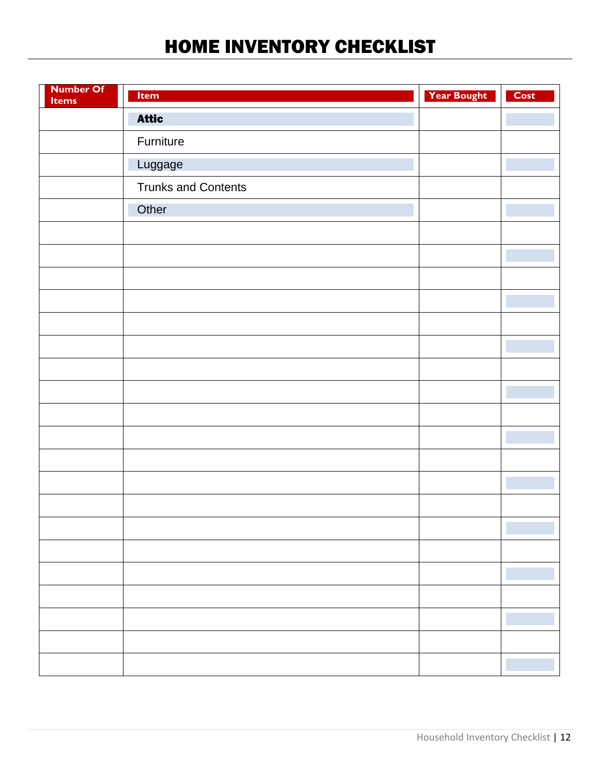| <b>Number Of</b><br><b>Items</b> | Item                       | Year Bought | Cost |
|----------------------------------|----------------------------|-------------|------|
|                                  | <b>Attic</b>               |             |      |
|                                  | Furniture                  |             |      |
|                                  | Luggage                    |             |      |
|                                  | <b>Trunks and Contents</b> |             |      |
|                                  | Other                      |             |      |
|                                  |                            |             |      |
|                                  |                            |             |      |
|                                  |                            |             |      |
|                                  |                            |             |      |
|                                  |                            |             |      |
|                                  |                            |             |      |
|                                  |                            |             |      |
|                                  |                            |             |      |
|                                  |                            |             |      |
|                                  |                            |             |      |
|                                  |                            |             |      |
|                                  |                            |             |      |
|                                  |                            |             |      |
|                                  |                            |             |      |
|                                  |                            |             |      |
|                                  |                            |             |      |
|                                  |                            |             |      |
|                                  |                            |             |      |
|                                  |                            |             |      |
|                                  |                            |             |      |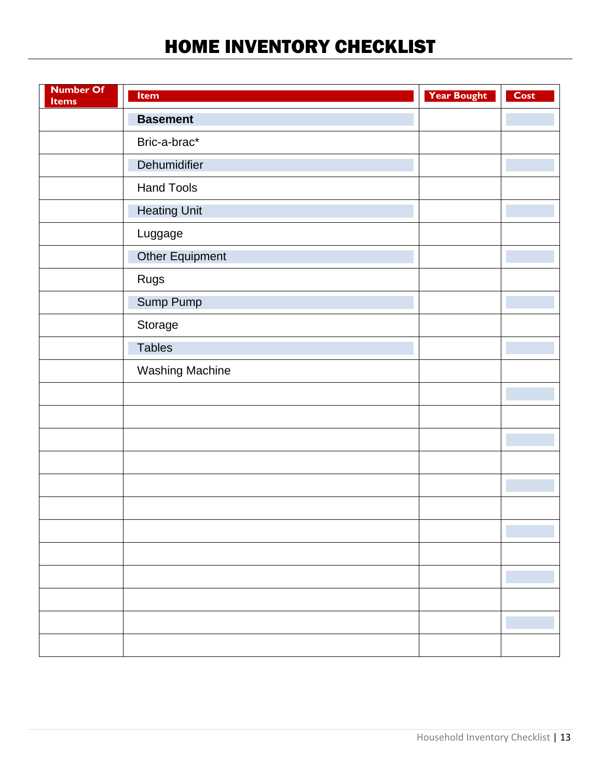| Number Of<br><b>Items</b> | Item                   | Year Bought | <b>Cost</b> |
|---------------------------|------------------------|-------------|-------------|
|                           | <b>Basement</b>        |             |             |
|                           | Bric-a-brac*           |             |             |
|                           | Dehumidifier           |             |             |
|                           | <b>Hand Tools</b>      |             |             |
|                           | <b>Heating Unit</b>    |             |             |
|                           | Luggage                |             |             |
|                           | <b>Other Equipment</b> |             |             |
|                           | Rugs                   |             |             |
|                           | Sump Pump              |             |             |
|                           | Storage                |             |             |
|                           | <b>Tables</b>          |             |             |
|                           | <b>Washing Machine</b> |             |             |
|                           |                        |             |             |
|                           |                        |             |             |
|                           |                        |             |             |
|                           |                        |             |             |
|                           |                        |             |             |
|                           |                        |             |             |
|                           |                        |             |             |
|                           |                        |             |             |
|                           |                        |             |             |
|                           |                        |             |             |
|                           |                        |             |             |
|                           |                        |             |             |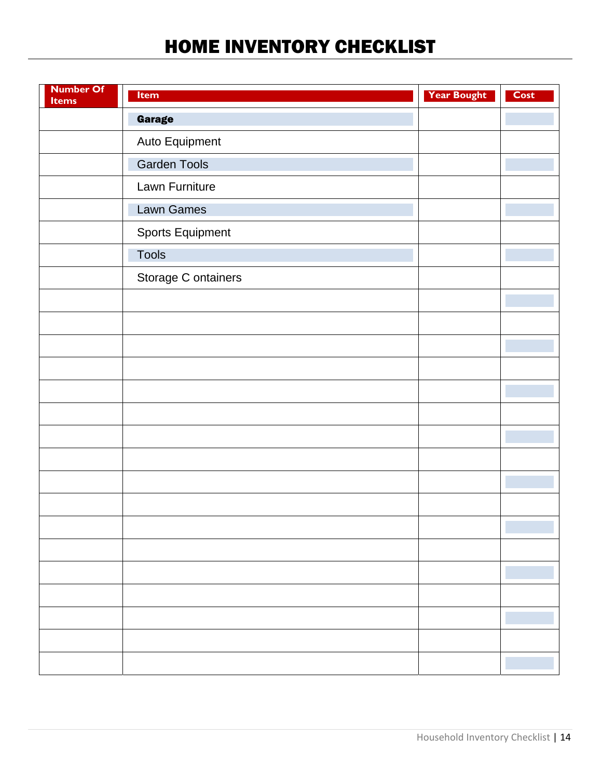| <b>Number Of</b><br><b>Items</b> | Item                | Year Bought | Cost |
|----------------------------------|---------------------|-------------|------|
|                                  | Garage              |             |      |
|                                  | Auto Equipment      |             |      |
|                                  | <b>Garden Tools</b> |             |      |
|                                  | Lawn Furniture      |             |      |
|                                  | Lawn Games          |             |      |
|                                  | Sports Equipment    |             |      |
|                                  | <b>Tools</b>        |             |      |
|                                  | Storage C ontainers |             |      |
|                                  |                     |             |      |
|                                  |                     |             |      |
|                                  |                     |             |      |
|                                  |                     |             |      |
|                                  |                     |             |      |
|                                  |                     |             |      |
|                                  |                     |             |      |
|                                  |                     |             |      |
|                                  |                     |             |      |
|                                  |                     |             |      |
|                                  |                     |             |      |
|                                  |                     |             |      |
|                                  |                     |             |      |
|                                  |                     |             |      |
|                                  |                     |             |      |
|                                  |                     |             |      |
|                                  |                     |             |      |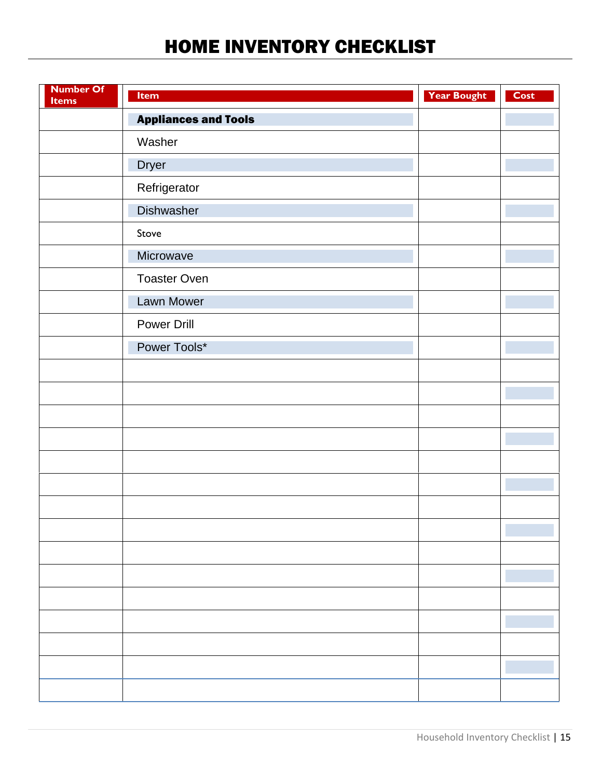| Number Of<br><b>Items</b> | Item                        | Year Bought | Cost |
|---------------------------|-----------------------------|-------------|------|
|                           | <b>Appliances and Tools</b> |             |      |
|                           | Washer                      |             |      |
|                           | <b>Dryer</b>                |             |      |
|                           | Refrigerator                |             |      |
|                           | <b>Dishwasher</b>           |             |      |
|                           | Stove                       |             |      |
|                           | Microwave                   |             |      |
|                           | <b>Toaster Oven</b>         |             |      |
|                           | Lawn Mower                  |             |      |
|                           | Power Drill                 |             |      |
|                           | Power Tools*                |             |      |
|                           |                             |             |      |
|                           |                             |             |      |
|                           |                             |             |      |
|                           |                             |             |      |
|                           |                             |             |      |
|                           |                             |             |      |
|                           |                             |             |      |
|                           |                             |             |      |
|                           |                             |             |      |
|                           |                             |             |      |
|                           |                             |             |      |
|                           |                             |             |      |
|                           |                             |             |      |
|                           |                             |             |      |
|                           |                             |             |      |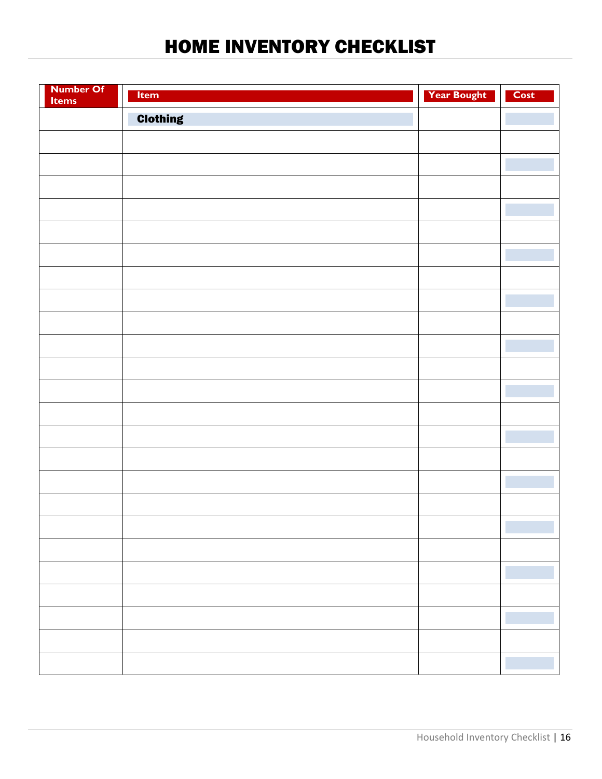| Number Of<br><b>Items</b> | Item            | Year Bought | Cost |
|---------------------------|-----------------|-------------|------|
|                           | <b>Clothing</b> |             |      |
|                           |                 |             |      |
|                           |                 |             |      |
|                           |                 |             |      |
|                           |                 |             |      |
|                           |                 |             |      |
|                           |                 |             |      |
|                           |                 |             |      |
|                           |                 |             |      |
|                           |                 |             |      |
|                           |                 |             |      |
|                           |                 |             |      |
|                           |                 |             |      |
|                           |                 |             |      |
|                           |                 |             |      |
|                           |                 |             |      |
|                           |                 |             |      |
|                           |                 |             |      |
|                           |                 |             |      |
|                           |                 |             |      |
|                           |                 |             |      |
|                           |                 |             |      |
|                           |                 |             |      |
|                           |                 |             |      |
|                           |                 |             |      |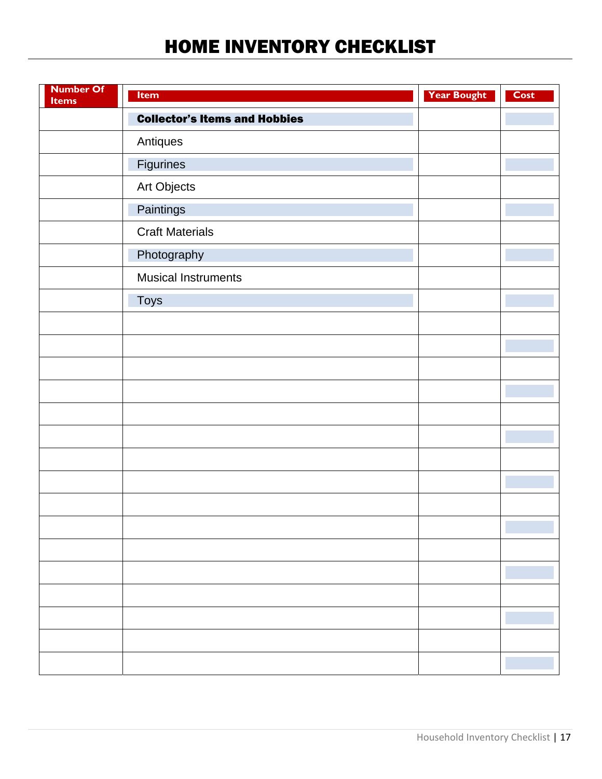| Number Of<br><b>Items</b> | Item                                 | <b>Year Bought</b> | <b>Cost</b> |
|---------------------------|--------------------------------------|--------------------|-------------|
|                           | <b>Collector's Items and Hobbies</b> |                    |             |
|                           | Antiques                             |                    |             |
|                           | Figurines                            |                    |             |
|                           | Art Objects                          |                    |             |
|                           | Paintings                            |                    |             |
|                           | <b>Craft Materials</b>               |                    |             |
|                           | Photography                          |                    |             |
|                           | <b>Musical Instruments</b>           |                    |             |
|                           | <b>Toys</b>                          |                    |             |
|                           |                                      |                    |             |
|                           |                                      |                    |             |
|                           |                                      |                    |             |
|                           |                                      |                    |             |
|                           |                                      |                    |             |
|                           |                                      |                    |             |
|                           |                                      |                    |             |
|                           |                                      |                    |             |
|                           |                                      |                    |             |
|                           |                                      |                    |             |
|                           |                                      |                    |             |
|                           |                                      |                    |             |
|                           |                                      |                    |             |
|                           |                                      |                    |             |
|                           |                                      |                    |             |
|                           |                                      |                    |             |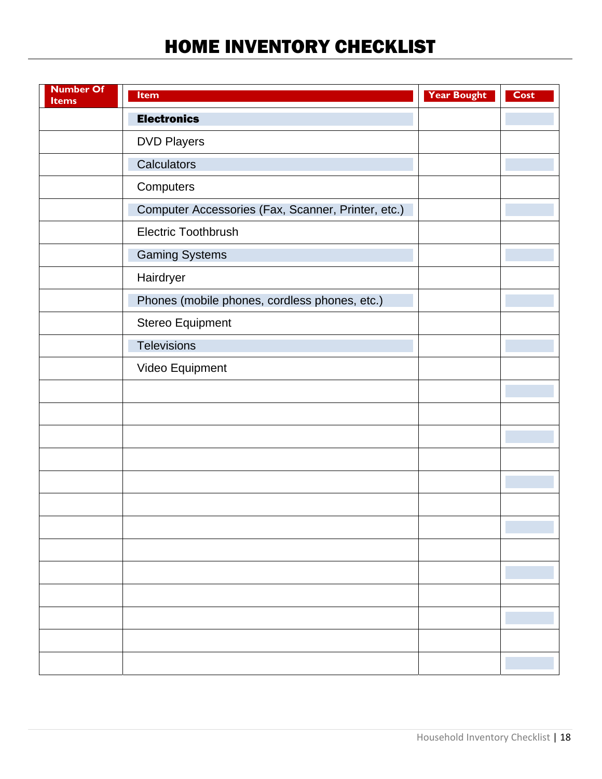| <b>Number Of</b><br><b>Items</b> | Item                                               | Year Bought | <b>Cost</b> |
|----------------------------------|----------------------------------------------------|-------------|-------------|
|                                  | <b>Electronics</b>                                 |             |             |
|                                  | <b>DVD Players</b>                                 |             |             |
|                                  | Calculators                                        |             |             |
|                                  | Computers                                          |             |             |
|                                  | Computer Accessories (Fax, Scanner, Printer, etc.) |             |             |
|                                  | <b>Electric Toothbrush</b>                         |             |             |
|                                  | <b>Gaming Systems</b>                              |             |             |
|                                  | Hairdryer                                          |             |             |
|                                  | Phones (mobile phones, cordless phones, etc.)      |             |             |
|                                  | Stereo Equipment                                   |             |             |
|                                  | <b>Televisions</b>                                 |             |             |
|                                  | Video Equipment                                    |             |             |
|                                  |                                                    |             |             |
|                                  |                                                    |             |             |
|                                  |                                                    |             |             |
|                                  |                                                    |             |             |
|                                  |                                                    |             |             |
|                                  |                                                    |             |             |
|                                  |                                                    |             |             |
|                                  |                                                    |             |             |
|                                  |                                                    |             |             |
|                                  |                                                    |             |             |
|                                  |                                                    |             |             |
|                                  |                                                    |             |             |
|                                  |                                                    |             |             |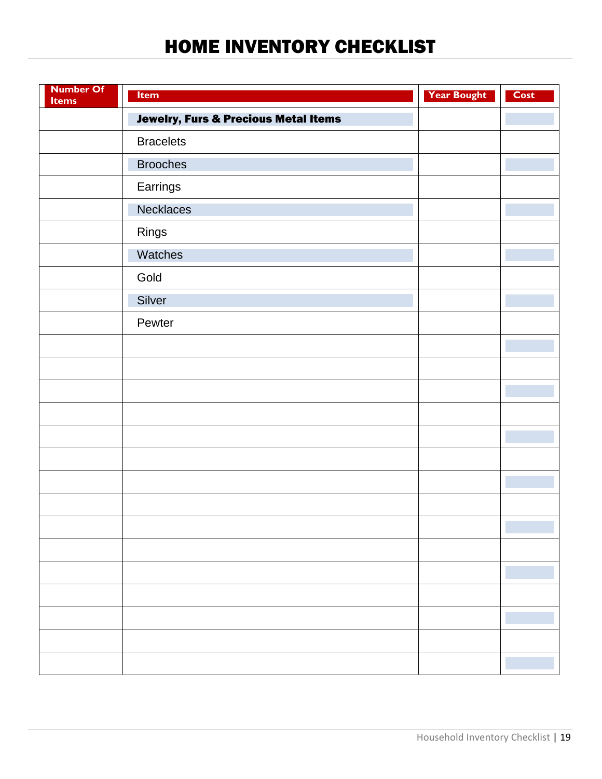| Number Of<br><b>Items</b> | Item                                            | Year Bought | <b>Cost</b> |
|---------------------------|-------------------------------------------------|-------------|-------------|
|                           | <b>Jewelry, Furs &amp; Precious Metal Items</b> |             |             |
|                           | <b>Bracelets</b>                                |             |             |
|                           | <b>Brooches</b>                                 |             |             |
|                           | Earrings                                        |             |             |
|                           | <b>Necklaces</b>                                |             |             |
|                           | Rings                                           |             |             |
|                           | Watches                                         |             |             |
|                           | Gold                                            |             |             |
|                           | Silver                                          |             |             |
|                           | Pewter                                          |             |             |
|                           |                                                 |             |             |
|                           |                                                 |             |             |
|                           |                                                 |             |             |
|                           |                                                 |             |             |
|                           |                                                 |             |             |
|                           |                                                 |             |             |
|                           |                                                 |             |             |
|                           |                                                 |             |             |
|                           |                                                 |             |             |
|                           |                                                 |             |             |
|                           |                                                 |             |             |
|                           |                                                 |             |             |
|                           |                                                 |             |             |
|                           |                                                 |             |             |
|                           |                                                 |             |             |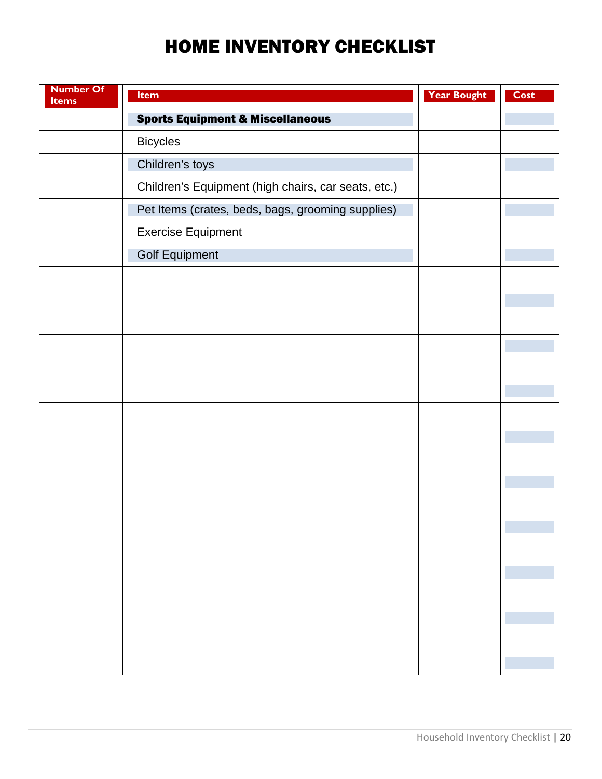| <b>Number Of</b><br><b>Items</b> | Item                                                | Year Bought | <b>Cost</b> |
|----------------------------------|-----------------------------------------------------|-------------|-------------|
|                                  | <b>Sports Equipment &amp; Miscellaneous</b>         |             |             |
|                                  | <b>Bicycles</b>                                     |             |             |
|                                  | Children's toys                                     |             |             |
|                                  | Children's Equipment (high chairs, car seats, etc.) |             |             |
|                                  | Pet Items (crates, beds, bags, grooming supplies)   |             |             |
|                                  | <b>Exercise Equipment</b>                           |             |             |
|                                  | <b>Golf Equipment</b>                               |             |             |
|                                  |                                                     |             |             |
|                                  |                                                     |             |             |
|                                  |                                                     |             |             |
|                                  |                                                     |             |             |
|                                  |                                                     |             |             |
|                                  |                                                     |             |             |
|                                  |                                                     |             |             |
|                                  |                                                     |             |             |
|                                  |                                                     |             |             |
|                                  |                                                     |             |             |
|                                  |                                                     |             |             |
|                                  |                                                     |             |             |
|                                  |                                                     |             |             |
|                                  |                                                     |             |             |
|                                  |                                                     |             |             |
|                                  |                                                     |             |             |
|                                  |                                                     |             |             |
|                                  |                                                     |             |             |